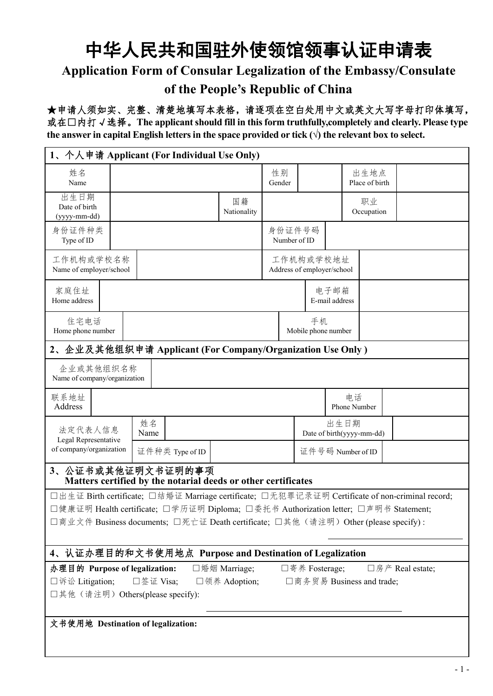## 中华人民共和国驻外使领馆领事认证申请表 **Application Form of Consular Legalization of the Embassy/Consulate of the People's Republic of China**

★申请人须如实、完整、清楚地填写本表格,请逐项在空白处用中文或英文大写字母打印体填写, 或在□内打√选择。**The applicantshould fill in thisform truthfully,completely and clearly. Please type the** answer in capital English letters in the space provided or tick  $(\sqrt{})$  the relevant box to select.

| 1、个人申请 Applicant (For Individual Use Only)                                                                                                                                |            |                                                               |                   |                        |                                         |                        |                           |                  |  |
|---------------------------------------------------------------------------------------------------------------------------------------------------------------------------|------------|---------------------------------------------------------------|-------------------|------------------------|-----------------------------------------|------------------------|---------------------------|------------------|--|
| 姓名<br>Name                                                                                                                                                                |            |                                                               |                   | 性别<br>Gender           |                                         |                        | 出生地点<br>Place of birth    |                  |  |
| 出生日期<br>Date of birth<br>(yyyy-mm-dd)                                                                                                                                     |            |                                                               | 国籍<br>Nationality |                        |                                         |                        | 职业<br>Occupation          |                  |  |
| 身份证件种类<br>Type of ID                                                                                                                                                      |            |                                                               |                   | 身份证件号码<br>Number of ID |                                         |                        |                           |                  |  |
| 工作机构或学校名称<br>Name of employer/school                                                                                                                                      |            |                                                               |                   |                        | 工作机构或学校地址<br>Address of employer/school |                        |                           |                  |  |
| 家庭住址<br>Home address                                                                                                                                                      |            |                                                               |                   |                        |                                         | 电子邮箱<br>E-mail address |                           |                  |  |
| 住宅电话<br>Home phone number                                                                                                                                                 |            |                                                               |                   |                        | 手机<br>Mobile phone number               |                        |                           |                  |  |
| 2、企业及其他组织申请 Applicant (For Company/Organization Use Only)                                                                                                                 |            |                                                               |                   |                        |                                         |                        |                           |                  |  |
| 企业或其他组织名称<br>Name of company/organization                                                                                                                                 |            |                                                               |                   |                        |                                         |                        |                           |                  |  |
| 联系地址<br>Address                                                                                                                                                           |            |                                                               |                   |                        |                                         |                        | 电话<br>Phone Number        |                  |  |
| 法定代表人信息<br>Legal Representative                                                                                                                                           | 姓名<br>Name |                                                               |                   |                        |                                         | 出生日期                   | Date of birth(yyyy-mm-dd) |                  |  |
| of company/organization                                                                                                                                                   |            | 证件种类 Type of ID                                               |                   |                        |                                         |                        | 证件号码 Number of ID         |                  |  |
| 3、公证书或其他证明文书证明的事项                                                                                                                                                         |            | Matters certified by the notarial deeds or other certificates |                   |                        |                                         |                        |                           |                  |  |
| □出生证 Birth certificate; □结婚证 Marriage certificate; □无犯罪记录证明 Certificate of non-criminal record;                                                                           |            |                                                               |                   |                        |                                         |                        |                           |                  |  |
| □健康证明 Health certificate; □学历证明 Diploma; □委托书 Authorization letter; □声明书 Statement;<br>□商业文件 Business documents; □死亡证 Death certificate; □其他(请注明) Other (please specify): |            |                                                               |                   |                        |                                         |                        |                           |                  |  |
|                                                                                                                                                                           |            |                                                               |                   |                        |                                         |                        |                           |                  |  |
| 4、认证办理目的和文书使用地点 Purpose and Destination of Legalization                                                                                                                   |            |                                                               |                   |                        |                                         |                        |                           |                  |  |
| 办理目的 Purpose of legalization:                                                                                                                                             |            |                                                               | □婚姻 Marriage;     |                        | □寄养 Fosterage;                          |                        |                           | □房产 Real estate; |  |
| □诉讼 Litigation;                                                                                                                                                           | □签证 Visa;  |                                                               | □领养 Adoption;     |                        |                                         |                        | □商务贸易 Business and trade; |                  |  |
| □其他(请注明) Others(please specify):                                                                                                                                          |            |                                                               |                   |                        |                                         |                        |                           |                  |  |
| 文书使用地 Destination of legalization:                                                                                                                                        |            |                                                               |                   |                        |                                         |                        |                           |                  |  |
|                                                                                                                                                                           |            |                                                               |                   |                        |                                         |                        |                           |                  |  |